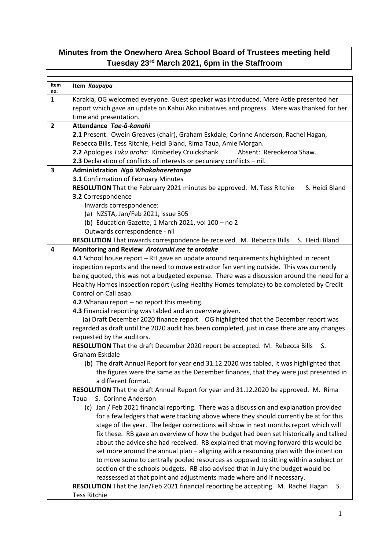## **Minutes from the Onewhero Area School Board of Trustees meeting held Tuesday 23rd March 2021, 6pm in the Staffroom**

| Item                | Item Kaupapa                                                                                              |
|---------------------|-----------------------------------------------------------------------------------------------------------|
| no.<br>$\mathbf{1}$ | Karakia, OG welcomed everyone. Guest speaker was introduced, Mere Astle presented her                     |
|                     | report which gave an update on Kahui Ako initiatives and progress. Mere was thanked for her               |
|                     | time and presentation.                                                                                    |
| $\overline{2}$      | Attendance Tae-ā-kanohi                                                                                   |
|                     | 2.1 Present: Owein Greaves (chair), Graham Eskdale, Corinne Anderson, Rachel Hagan,                       |
|                     | Rebecca Bills, Tess Ritchie, Heidi Bland, Rima Taua, Amie Morgan.                                         |
|                     | 2.2 Apologies Tuku aroha: Kimberley Cruickshank<br>Absent: Rereokeroa Shaw.                               |
|                     | 2.3 Declaration of conflicts of interests or pecuniary conflicts - nil.                                   |
| 3                   | Administration Ngā Whakahaeretanga                                                                        |
|                     | 3.1 Confirmation of February Minutes                                                                      |
|                     | RESOLUTION That the February 2021 minutes be approved. M. Tess Ritchie<br>S. Heidi Bland                  |
|                     | 3.2 Correspondence                                                                                        |
|                     | Inwards correspondence:                                                                                   |
|                     | (a) NZSTA, Jan/Feb 2021, issue 305                                                                        |
|                     | (b) Education Gazette, 1 March 2021, vol 100 - no 2                                                       |
|                     | Outwards correspondence - nil                                                                             |
|                     | RESOLUTION That inwards correspondence be received. M. Rebecca Bills S. Heidi Bland                       |
| 4                   | Monitoring and Review Aroturuki me te arotake                                                             |
|                     | 4.1 School house report - RH gave an update around requirements highlighted in recent                     |
|                     | inspection reports and the need to move extractor fan venting outside. This was currently                 |
|                     | being quoted, this was not a budgeted expense. There was a discussion around the need for a               |
|                     | Healthy Homes inspection report (using Healthy Homes template) to be completed by Credit                  |
|                     | Control on Call asap.<br>4.2 Whanau report - no report this meeting.                                      |
|                     | 4.3 Financial reporting was tabled and an overview given.                                                 |
|                     | (a) Draft December 2020 finance report. OG highlighted that the December report was                       |
|                     | regarded as draft until the 2020 audit has been completed, just in case there are any changes             |
|                     | requested by the auditors.                                                                                |
|                     | RESOLUTION That the draft December 2020 report be accepted. M. Rebecca Bills<br>S.                        |
|                     | Graham Eskdale                                                                                            |
|                     | (b) The draft Annual Report for year end 31.12.2020 was tabled, it was highlighted that                   |
|                     | the figures were the same as the December finances, that they were just presented in                      |
|                     | a different format.                                                                                       |
|                     | RESOLUTION That the draft Annual Report for year end 31.12.2020 be approved. M. Rima                      |
|                     | S. Corinne Anderson<br>Taua                                                                               |
|                     | (c) Jan / Feb 2021 financial reporting. There was a discussion and explanation provided                   |
|                     | for a few ledgers that were tracking above where they should currently be at for this                     |
|                     | stage of the year. The ledger corrections will show in next months report which will                      |
|                     | fix these. RB gave an overview of how the budget had been set historically and talked                     |
|                     | about the advice she had received. RB explained that moving forward this would be                         |
|                     | set more around the annual plan - aligning with a resourcing plan with the intention                      |
|                     | to move some to centrally pooled resources as opposed to sitting within a subject or                      |
|                     | section of the schools budgets. RB also advised that in July the budget would be                          |
|                     | reassessed at that point and adjustments made where and if necessary.<br>S.                               |
|                     | RESOLUTION That the Jan/Feb 2021 financial reporting be accepting. M. Rachel Hagan<br><b>Tess Ritchie</b> |
|                     |                                                                                                           |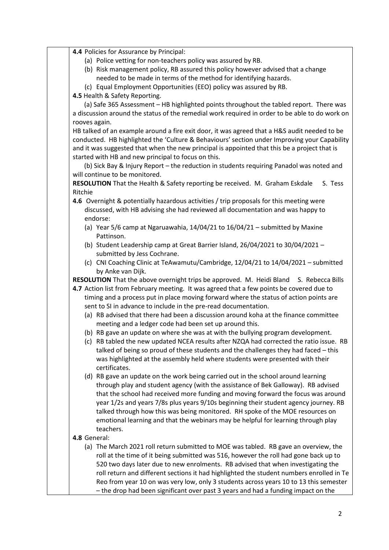**4.4** Policies for Assurance by Principal:

- (a) Police vetting for non-teachers policy was assured by RB.
- (b) Risk management policy, RB assured this policy however advised that a change needed to be made in terms of the method for identifying hazards.
- (c) Equal Employment Opportunities (EEO) policy was assured by RB.

**4.5** Health & Safety Reporting.

 (a) Safe 365 Assessment – HB highlighted points throughout the tabled report. There was a discussion around the status of the remedial work required in order to be able to do work on rooves again.

HB talked of an example around a fire exit door, it was agreed that a H&S audit needed to be conducted. HB highlighted the 'Culture & Behaviours' section under Improving your Capability and it was suggested that when the new principal is appointed that this be a project that is started with HB and new principal to focus on this.

 (b) Sick Bay & Injury Report – the reduction in students requiring Panadol was noted and will continue to be monitored.

**RESOLUTION** That the Health & Safety reporting be received. M. Graham Eskdale S. Tess Ritchie

- **4.6** Overnight & potentially hazardous activities / trip proposals for this meeting were discussed, with HB advising she had reviewed all documentation and was happy to endorse:
	- (a) Year 5/6 camp at Ngaruawahia, 14/04/21 to 16/04/21 submitted by Maxine Pattinson.
	- (b) Student Leadership camp at Great Barrier Island, 26/04/2021 to 30/04/2021 submitted by Jess Cochrane.
	- (c) CNI Coaching Clinic at TeAwamutu/Cambridge, 12/04/21 to 14/04/2021 submitted by Anke van Dijk.

**RESOLUTION** That the above overnight trips be approved. M. Heidi Bland S. Rebecca Bills

- **4.7** Action list from February meeting. It was agreed that a few points be covered due to timing and a process put in place moving forward where the status of action points are sent to SI in advance to include in the pre-read documentation.
	- (a) RB advised that there had been a discussion around koha at the finance committee meeting and a ledger code had been set up around this.
	- (b) RB gave an update on where she was at with the bullying program development.
	- (c) RB tabled the new updated NCEA results after NZQA had corrected the ratio issue. RB talked of being so proud of these students and the challenges they had faced – this was highlighted at the assembly held where students were presented with their certificates.
	- (d) RB gave an update on the work being carried out in the school around learning through play and student agency (with the assistance of Bek Galloway). RB advised that the school had received more funding and moving forward the focus was around year 1/2s and years 7/8s plus years 9/10s beginning their student agency journey. RB talked through how this was being monitored. RH spoke of the MOE resources on emotional learning and that the webinars may be helpful for learning through play teachers.

## **4.8** General:

(a) The March 2021 roll return submitted to MOE was tabled. RB gave an overview, the roll at the time of it being submitted was 516, however the roll had gone back up to 520 two days later due to new enrolments. RB advised that when investigating the roll return and different sections it had highlighted the student numbers enrolled in Te Reo from year 10 on was very low, only 3 students across years 10 to 13 this semester – the drop had been significant over past 3 years and had a funding impact on the